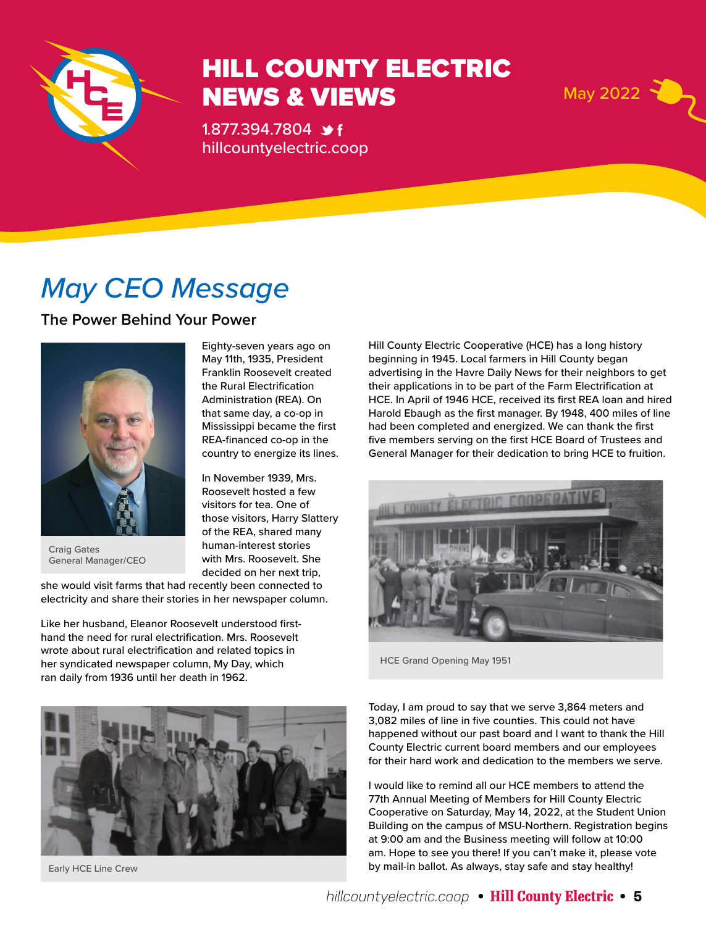

## HILL COUNTY ELECTRIC NEWS & VIEWS May 2022

1.877.394.7804 **\*** f hillcountyelectric.coop

Eighty-seven years ago on May 11th, 1935, President Franklin Roosevelt created the Rural Electrification Administration (REA). On that same day, a co-op in Mississippi became the first REA-financed co-op in the country to energize its lines.

In November 1939, Mrs. Roosevelt hosted a few visitors for tea. One of those visitors, Harry Slattery of the REA, shared many human-interest stories with Mrs. Roosevelt. She decided on her next trip,

## *May CEO Message*

**The Power Behind Your Power**



Craig Gates General Manager/CEO

she would visit farms that had recently been connected to electricity and share their stories in her newspaper column.

Like her husband, Eleanor Roosevelt understood firsthand the need for rural electrification. Mrs. Roosevelt wrote about rural electrification and related topics in her syndicated newspaper column, My Day, which ran daily from 1936 until her death in 1962.

Hill County Electric Cooperative (HCE) has a long history beginning in 1945. Local farmers in Hill County began advertising in the Havre Daily News for their neighbors to get their applications in to be part of the Farm Electrification at HCE. In April of 1946 HCE, received its first REA loan and hired Harold Ebaugh as the first manager. By 1948, 400 miles of line had been completed and energized. We can thank the first five members serving on the first HCE Board of Trustees and General Manager for their dedication to bring HCE to fruition.



HCE Grand Opening May 1951



Early HCE Line Crew

Today, I am proud to say that we serve 3,864 meters and 3,082 miles of line in five counties. This could not have happened without our past board and I want to thank the Hill County Electric current board members and our employees for their hard work and dedication to the members we serve.

I would like to remind all our HCE members to attend the 77th Annual Meeting of Members for Hill County Electric Cooperative on Saturday, May 14, 2022, at the Student Union Building on the campus of MSU-Northern. Registration begins at 9:00 am and the Business meeting will follow at 10:00 am. Hope to see you there! If you can't make it, please vote by mail-in ballot. As always, stay safe and stay healthy!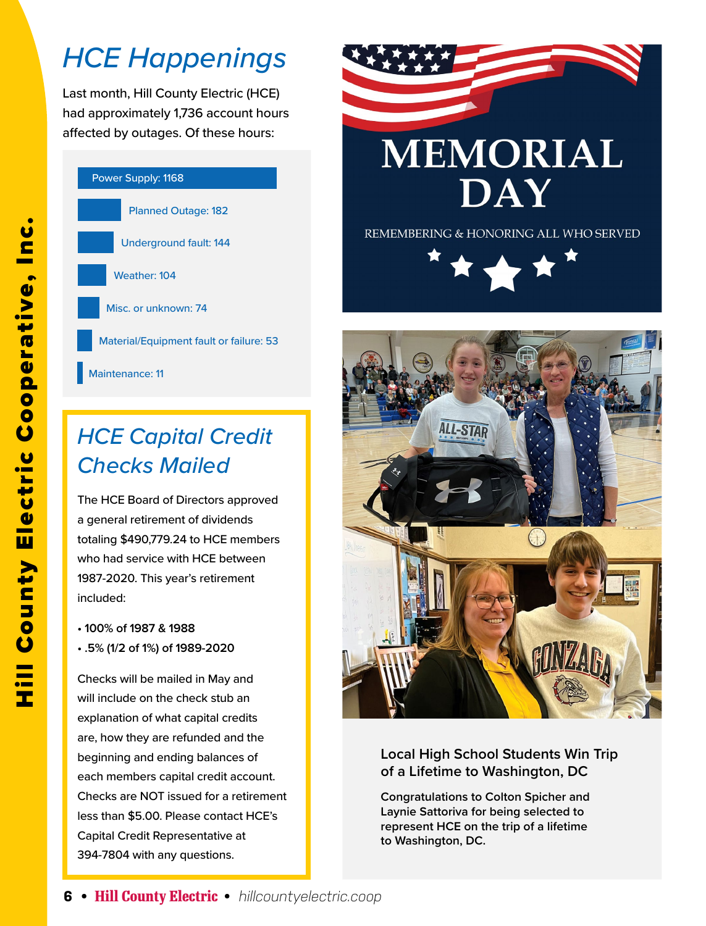## *HCE Happenings*

Last month, Hill County Electric (HCE) had approximately 1,736 account hours affected by outages. Of these hours:



## *HCE Capital Credit Checks Mailed*

The HCE Board of Directors approved a general retirement of dividends totaling \$490,779.24 to HCE members who had service with HCE between 1987-2020. This year's retirement included:

- **100% of 1987 & 1988**
- **.5% (1/2 of 1%) of 1989-2020**

Checks will be mailed in May and will include on the check stub an explanation of what capital credits are, how they are refunded and the beginning and ending balances of each members capital credit account. Checks are NOT issued for a retirement less than \$5.00. Please contact HCE's Capital Credit Representative at 394-7804 with any questions.



REMEMBERING & HONORING ALL WHO SERVED





#### **Local High School Students Win Trip of a Lifetime to Washington, DC**

**Congratulations to Colton Spicher and Laynie Sattoriva for being selected to represent HCE on the trip of a lifetime to Washington, DC.**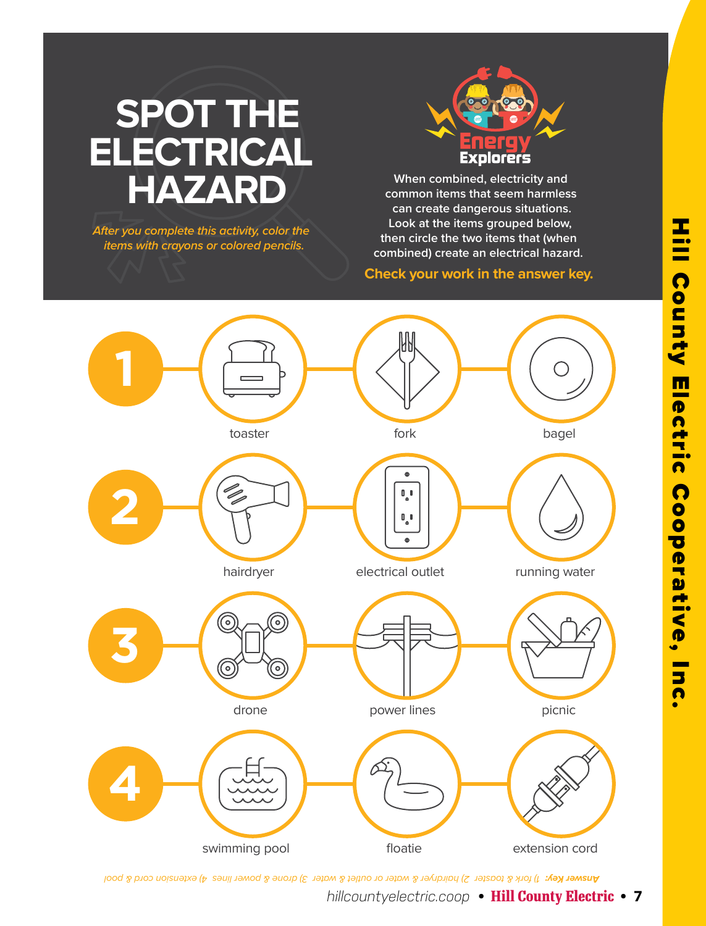# **SPOT THE ELECTRICAL**

**After you complete this activity, color the items with crayons or colored pencils.**



**HAZARD** When combined, electricity and common items that seem harmles **common items that seem harmless can create dangerous situations. Look at the items grouped below, then circle the two items that (when combined) create an electrical hazard.**

#### **Check your work in the answer key.**



**lines Key:** 1) fork & toaster 2) hairdryer & water or outlet & water 3) drone & power lines 4) extension cord & pool

*hillcountyelectric.coop* **• Hill County Electric • 7**